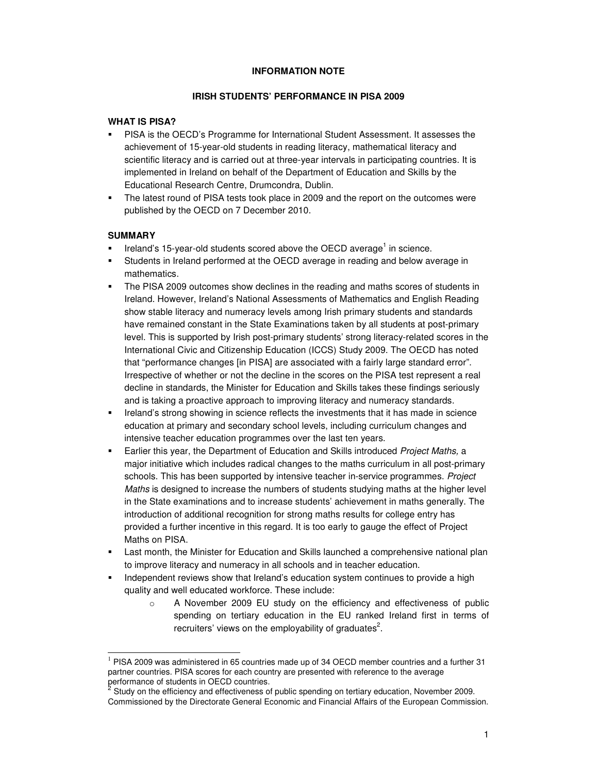### **INFORMATION NOTE**

### **IRISH STUDENTS' PERFORMANCE IN PISA 2009**

### **WHAT IS PISA?**

- PISA is the OECD's Programme for International Student Assessment. It assesses the achievement of 15-year-old students in reading literacy, mathematical literacy and scientific literacy and is carried out at three-year intervals in participating countries. It is implemented in Ireland on behalf of the Department of Education and Skills by the Educational Research Centre, Drumcondra, Dublin.
- The latest round of PISA tests took place in 2009 and the report on the outcomes were published by the OECD on 7 December 2010.

# **SUMMARY**

- Ireland's 15-year-old students scored above the OECD average<sup>1</sup> in science.
- Students in Ireland performed at the OECD average in reading and below average in mathematics.
- The PISA 2009 outcomes show declines in the reading and maths scores of students in Ireland. However, Ireland's National Assessments of Mathematics and English Reading show stable literacy and numeracy levels among Irish primary students and standards have remained constant in the State Examinations taken by all students at post-primary level. This is supported by Irish post-primary students' strong literacy-related scores in the International Civic and Citizenship Education (ICCS) Study 2009. The OECD has noted that "performance changes [in PISA] are associated with a fairly large standard error". Irrespective of whether or not the decline in the scores on the PISA test represent a real decline in standards, the Minister for Education and Skills takes these findings seriously and is taking a proactive approach to improving literacy and numeracy standards.
- Ireland's strong showing in science reflects the investments that it has made in science education at primary and secondary school levels, including curriculum changes and intensive teacher education programmes over the last ten years.
- **Earlier this year, the Department of Education and Skills introduced Project Maths, a** major initiative which includes radical changes to the maths curriculum in all post-primary schools. This has been supported by intensive teacher in-service programmes. Project Maths is designed to increase the numbers of students studying maths at the higher level in the State examinations and to increase students' achievement in maths generally. The introduction of additional recognition for strong maths results for college entry has provided a further incentive in this regard. It is too early to gauge the effect of Project Maths on PISA.
- Last month, the Minister for Education and Skills launched a comprehensive national plan to improve literacy and numeracy in all schools and in teacher education.
- Independent reviews show that Ireland's education system continues to provide a high quality and well educated workforce. These include:
	- o A November 2009 EU study on the efficiency and effectiveness of public spending on tertiary education in the EU ranked Ireland first in terms of recruiters' views on the employability of graduates<sup>2</sup>.

<sup>-</sup> $1$  PISA 2009 was administered in 65 countries made up of 34 OECD member countries and a further 31 partner countries. PISA scores for each country are presented with reference to the average performance of students in OECD countries.<br><sup>2</sup> Study on the efficiency and effectiveness of

Study on the efficiency and effectiveness of public spending on tertiary education, November 2009. Commissioned by the Directorate General Economic and Financial Affairs of the European Commission.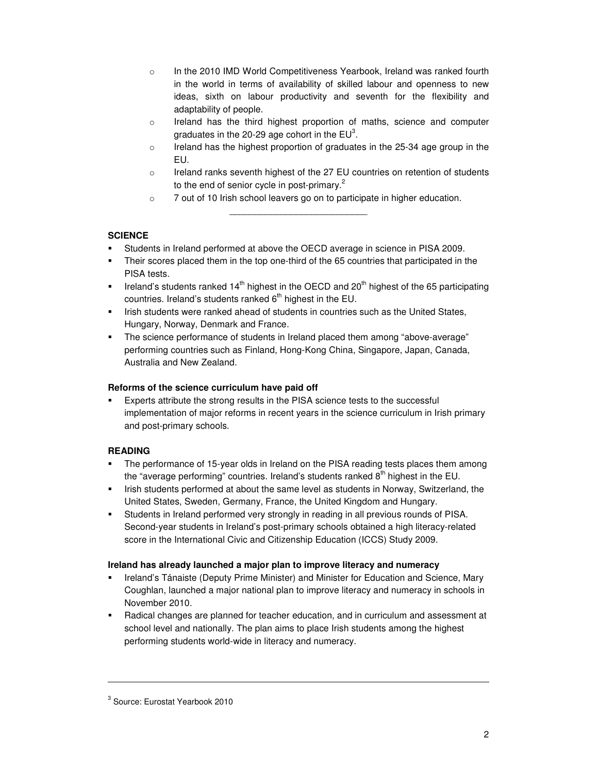- o In the 2010 IMD World Competitiveness Yearbook, Ireland was ranked fourth in the world in terms of availability of skilled labour and openness to new ideas, sixth on labour productivity and seventh for the flexibility and adaptability of people.
- $\circ$  Ireland has the third highest proportion of maths, science and computer graduates in the 20-29 age cohort in the  $EU^3$ .
- $\circ$  Ireland has the highest proportion of graduates in the 25-34 age group in the EU.
- $\circ$  Ireland ranks seventh highest of the 27 EU countries on retention of students to the end of senior cycle in post-primary.<sup>2</sup>
- o 7 out of 10 Irish school leavers go on to participate in higher education.

\_\_\_\_\_\_\_\_\_\_\_\_\_\_\_\_\_\_\_\_\_\_\_\_\_\_\_

# **SCIENCE**

- Students in Ireland performed at above the OECD average in science in PISA 2009.
- Their scores placed them in the top one-third of the 65 countries that participated in the PISA tests.
- Ireland's students ranked  $14<sup>th</sup>$  highest in the OECD and  $20<sup>th</sup>$  highest of the 65 participating countries. Ireland's students ranked  $6<sup>th</sup>$  highest in the EU.
- Irish students were ranked ahead of students in countries such as the United States, Hungary, Norway, Denmark and France.
- The science performance of students in Ireland placed them among "above-average" performing countries such as Finland, Hong-Kong China, Singapore, Japan, Canada, Australia and New Zealand.

# **Reforms of the science curriculum have paid off**

 Experts attribute the strong results in the PISA science tests to the successful implementation of major reforms in recent years in the science curriculum in Irish primary and post-primary schools.

# **READING**

- The performance of 15-year olds in Ireland on the PISA reading tests places them among the "average performing" countries. Ireland's students ranked  $8<sup>th</sup>$  highest in the EU.
- Irish students performed at about the same level as students in Norway, Switzerland, the United States, Sweden, Germany, France, the United Kingdom and Hungary.
- Students in Ireland performed very strongly in reading in all previous rounds of PISA. Second-year students in Ireland's post-primary schools obtained a high literacy-related score in the International Civic and Citizenship Education (ICCS) Study 2009.

# **Ireland has already launched a major plan to improve literacy and numeracy**

- Ireland's Tánaiste (Deputy Prime Minister) and Minister for Education and Science, Mary Coughlan, launched a major national plan to improve literacy and numeracy in schools in November 2010.
- Radical changes are planned for teacher education, and in curriculum and assessment at school level and nationally. The plan aims to place Irish students among the highest performing students world-wide in literacy and numeracy.

-

<sup>3</sup> Source: Eurostat Yearbook 2010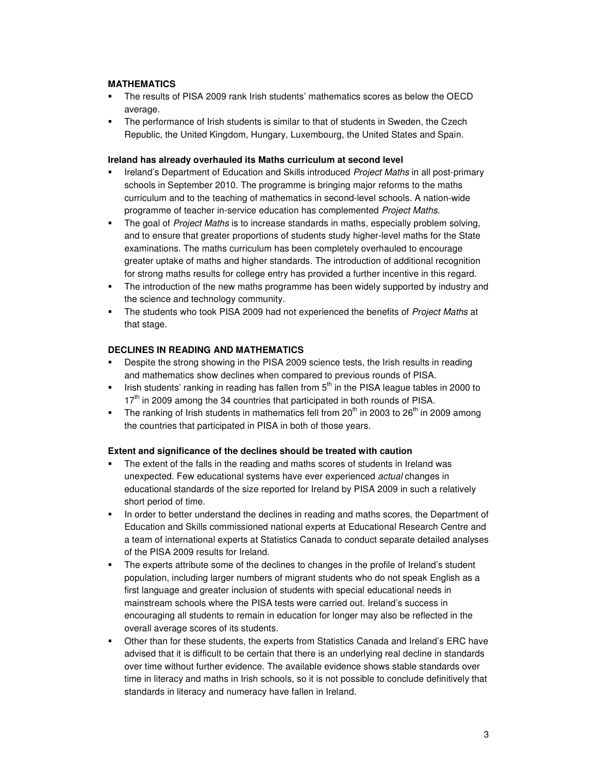# **MATHEMATICS**

- The results of PISA 2009 rank Irish students' mathematics scores as below the OECD average.
- The performance of Irish students is similar to that of students in Sweden, the Czech Republic, the United Kingdom, Hungary, Luxembourg, the United States and Spain.

# **Ireland has already overhauled its Maths curriculum at second level**

- Ireland's Department of Education and Skills introduced Project Maths in all post-primary schools in September 2010. The programme is bringing major reforms to the maths curriculum and to the teaching of mathematics in second-level schools. A nation-wide programme of teacher in-service education has complemented Project Maths.
- The goal of Project Maths is to increase standards in maths, especially problem solving, and to ensure that greater proportions of students study higher-level maths for the State examinations. The maths curriculum has been completely overhauled to encourage greater uptake of maths and higher standards. The introduction of additional recognition for strong maths results for college entry has provided a further incentive in this regard.
- The introduction of the new maths programme has been widely supported by industry and the science and technology community.
- The students who took PISA 2009 had not experienced the benefits of *Project Maths* at that stage.

# **DECLINES IN READING AND MATHEMATICS**

- **Despite the strong showing in the PISA 2009 science tests, the Irish results in reading** and mathematics show declines when compared to previous rounds of PISA.
- Irish students' ranking in reading has fallen from  $5<sup>th</sup>$  in the PISA league tables in 2000 to  $17<sup>th</sup>$  in 2009 among the 34 countries that participated in both rounds of PISA.
- The ranking of Irish students in mathematics fell from  $20<sup>th</sup>$  in 2003 to  $26<sup>th</sup>$  in 2009 among the countries that participated in PISA in both of those years.

# **Extent and significance of the declines should be treated with caution**

- The extent of the falls in the reading and maths scores of students in Ireland was unexpected. Few educational systems have ever experienced actual changes in educational standards of the size reported for Ireland by PISA 2009 in such a relatively short period of time.
- In order to better understand the declines in reading and maths scores, the Department of Education and Skills commissioned national experts at Educational Research Centre and a team of international experts at Statistics Canada to conduct separate detailed analyses of the PISA 2009 results for Ireland.
- The experts attribute some of the declines to changes in the profile of Ireland's student population, including larger numbers of migrant students who do not speak English as a first language and greater inclusion of students with special educational needs in mainstream schools where the PISA tests were carried out. Ireland's success in encouraging all students to remain in education for longer may also be reflected in the overall average scores of its students.
- Other than for these students, the experts from Statistics Canada and Ireland's ERC have advised that it is difficult to be certain that there is an underlying real decline in standards over time without further evidence. The available evidence shows stable standards over time in literacy and maths in Irish schools, so it is not possible to conclude definitively that standards in literacy and numeracy have fallen in Ireland.